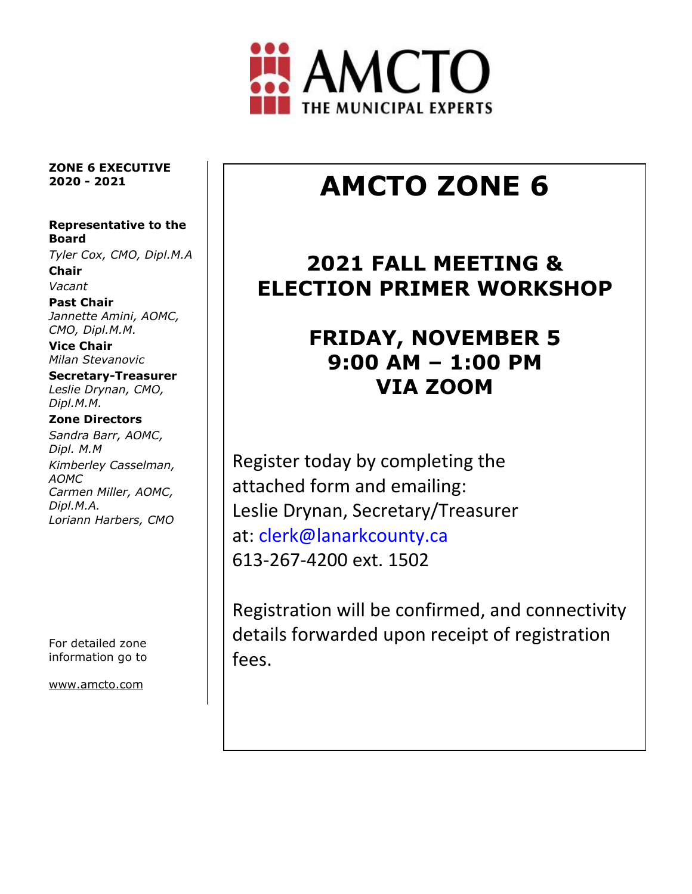

**ZONE 6 EXECUTIVE 2020 - 2021**

#### **Representative to the Board**

*Tyler Cox, CMO, Dipl.M.A* **Chair**

*Vacant*

**Past Chair** *Jannette Amini, AOMC, CMO, Dipl.M.M.*

**Vice Chair** *Milan Stevanovic*

**Secretary-Treasurer** *Leslie Drynan, CMO, Dipl.M.M.*

#### **Zone Directors**

*Sandra Barr, AOMC, Dipl. M.M Kimberley Casselman, AOMC Carmen Miller, AOMC, Dipl.M.A. Loriann Harbers, CMO*

For detailed zone information go to

[www.amcto.com](http://www.amcto.com/)

# **AMCTO ZONE 6**

### **2021 FALL MEETING & ELECTION PRIMER WORKSHOP**

## **FRIDAY, NOVEMBER 5 9:00 AM – 1:00 PM VIA ZOOM**

Register today by completing the attached form and emailing: Leslie Drynan, Secretary/Treasurer at: clerk@lanarkcounty.ca 613-267-4200 ext. 1502

Registration will be confirmed, and connectivity details forwarded upon receipt of registration fees.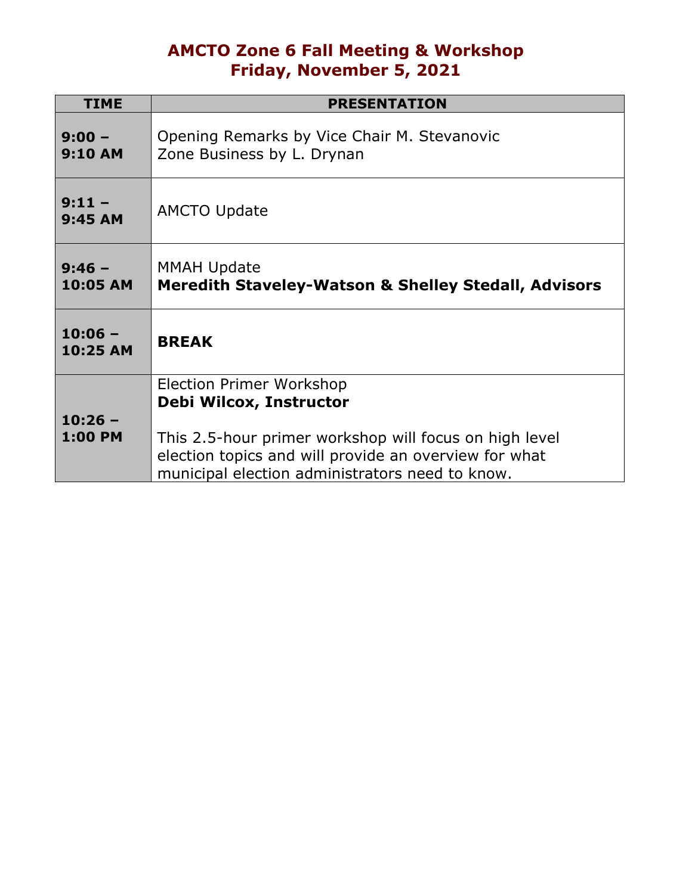### **AMCTO Zone 6 Fall Meeting & Workshop Friday, November 5, 2021**

| <b>TIME</b>                | <b>PRESENTATION</b>                                                                                                                                                |
|----------------------------|--------------------------------------------------------------------------------------------------------------------------------------------------------------------|
| $9:00 -$<br><b>9:10 AM</b> | Opening Remarks by Vice Chair M. Stevanovic<br>Zone Business by L. Drynan                                                                                          |
| $9:11 -$<br>9:45 AM        | <b>AMCTO Update</b>                                                                                                                                                |
| $9:46 -$<br>10:05 AM       | <b>MMAH Update</b><br><b>Meredith Staveley-Watson &amp; Shelley Stedall, Advisors</b>                                                                              |
| $10:06 -$<br>10:25 AM      | <b>BREAK</b>                                                                                                                                                       |
| $10:26 -$                  | <b>Election Primer Workshop</b><br>Debi Wilcox, Instructor                                                                                                         |
| <b>1:00 PM</b>             | This 2.5-hour primer workshop will focus on high level<br>election topics and will provide an overview for what<br>municipal election administrators need to know. |